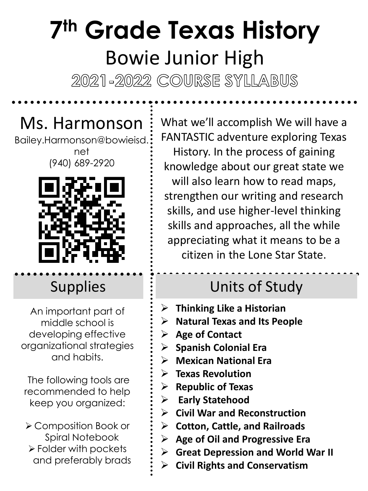# **7 th Grade Texas History** Bowie Junior High

2021-2022 COURSE SYLLABUS

## Ms. Harmonson

Bailey.Harmonson@bowieisd. net

(940) 689-2920



**Supplies** 

An important part of middle school is developing effective organizational strategies and habits.

The following tools are recommended to help keep you organized:

➢ Composition Book or Spiral Notebook ➢ Folder with pockets and preferably brads What we'll accomplish We will have a FANTASTIC adventure exploring Texas History. In the process of gaining knowledge about our great state we will also learn how to read maps, strengthen our writing and research skills, and use higher-level thinking skills and approaches, all the while appreciating what it means to be a citizen in the Lone Star State.

## Units of Study

- ➢ **Thinking Like a Historian**
- ➢ **Natural Texas and Its People**
- ➢ **Age of Contact**
- ➢ **Spanish Colonial Era**
- ➢ **Mexican National Era**
- ➢ **Texas Revolution**
- ➢ **Republic of Texas**
- ➢ **Early Statehood**
- ➢ **Civil War and Reconstruction**
- ➢ **Cotton, Cattle, and Railroads**
- ➢ **Age of Oil and Progressive Era**
- ➢ **Great Depression and World War II**
- ➢ **Civil Rights and Conservatism**